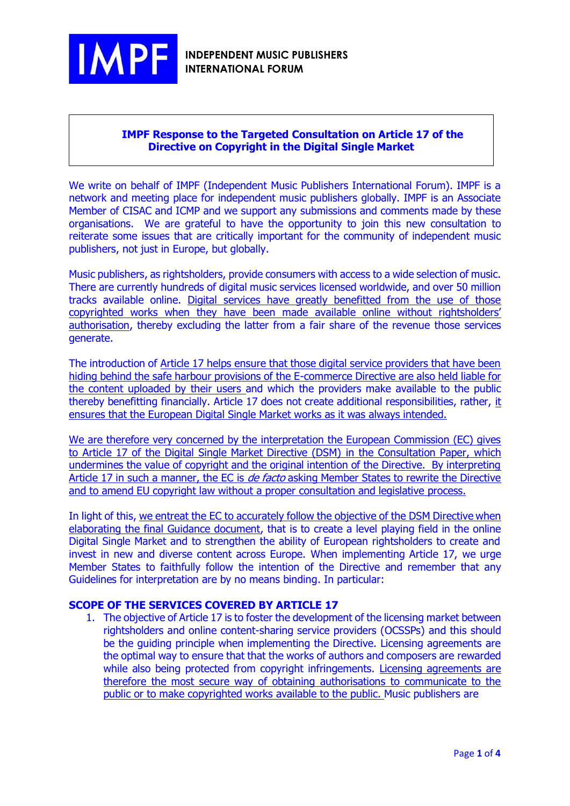

## **IMPF Response to the Targeted Consultation on Article 17 of the Directive on Copyright in the Digital Single Market**

We write on behalf of IMPF (Independent Music Publishers International Forum). IMPF is a network and meeting place for independent music publishers globally. IMPF is an Associate Member of CISAC and ICMP and we support any submissions and comments made by these organisations. We are grateful to have the opportunity to join this new consultation to reiterate some issues that are critically important for the community of independent music publishers, not just in Europe, but globally.

Music publishers, as rightsholders, provide consumers with access to a wide selection of music. There are currently hundreds of digital music services licensed worldwide, and over 50 million tracks available online. Digital services have greatly benefitted from the use of those copyrighted works when they have been made available online without rightsholders' authorisation, thereby excluding the latter from a fair share of the revenue those services generate.

The introduction of Article 17 helps ensure that those digital service providers that have been hiding behind the safe harbour provisions of the E-commerce Directive are also held liable for the content uploaded by their users and which the providers make available to the public thereby benefitting financially. Article 17 does not create additional responsibilities, rather, it ensures that the European Digital Single Market works as it was always intended.

We are therefore very concerned by the interpretation the European Commission (EC) gives to Article 17 of the Digital Single Market Directive (DSM) in the Consultation Paper, which undermines the value of copyright and the original intention of the Directive. By interpreting Article 17 in such a manner, the EC is *de facto* asking Member States to rewrite the Directive and to amend EU copyright law without a proper consultation and legislative process.

In light of this, we entreat the EC to accurately follow the objective of the DSM Directive when elaborating the final Guidance document, that is to create a level playing field in the online Digital Single Market and to strengthen the ability of European rightsholders to create and invest in new and diverse content across Europe. When implementing Article 17, we urge Member States to faithfully follow the intention of the Directive and remember that any Guidelines for interpretation are by no means binding. In particular:

# **SCOPE OF THE SERVICES COVERED BY ARTICLE 17**

1. The objective of Article 17 is to foster the development of the licensing market between rightsholders and online content-sharing service providers (OCSSPs) and this should be the guiding principle when implementing the Directive. Licensing agreements are the optimal way to ensure that that the works of authors and composers are rewarded while also being protected from copyright infringements. Licensing agreements are therefore the most secure way of obtaining authorisations to communicate to the public or to make copyrighted works available to the public. Music publishers are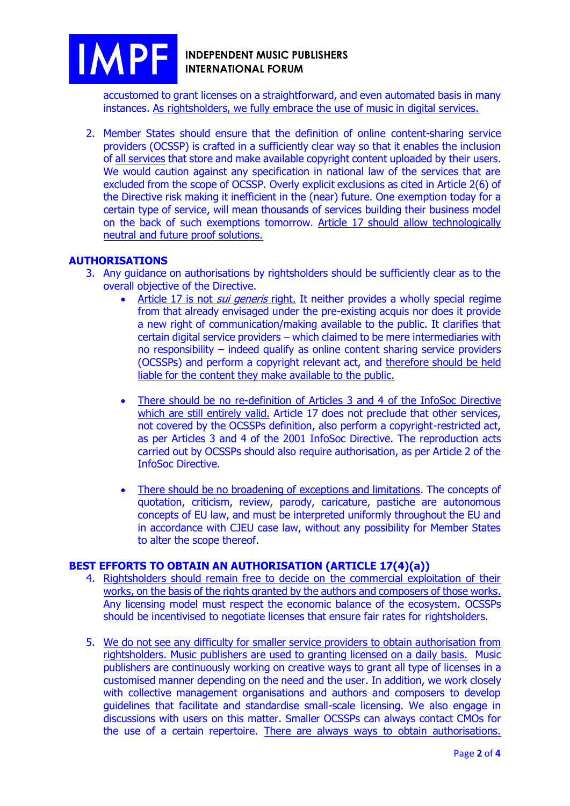

accustomed to grant licenses on a straightforward, and even automated basis in many instances. As rightsholders, we fully embrace the use of music in digital services.

2. Member States should ensure that the definition of online content-sharing service providers (OCSSP) is crafted in a sufficiently clear way so that it enables the inclusion of all services that store and make available copyright content uploaded by their users. We would caution against any specification in national law of the services that are excluded from the scope of OCSSP. Overly explicit exclusions as cited in Article 2(6) of the Directive risk making it inefficient in the (near) future. One exemption today for a certain type of service, will mean thousands of services building their business model on the back of such exemptions tomorrow. Article 17 should allow technologically neutral and future proof solutions.

### **AUTHORISATIONS**

- 3. Any guidance on authorisations by rightsholders should be sufficiently clear as to the overall objective of the Directive.
	- Article 17 is not *sui generis* right. It neither provides a wholly special regime from that already envisaged under the pre-existing acquis nor does it provide a new right of communication/making available to the public. It clarifies that certain digital service providers – which claimed to be mere intermediaries with no responsibility – indeed qualify as online content sharing service providers (OCSSPs) and perform a copyright relevant act, and therefore should be held liable for the content they make available to the public.
	- There should be no re-definition of Articles 3 and 4 of the InfoSoc Directive which are still entirely valid. Article 17 does not preclude that other services, not covered by the OCSSPs definition, also perform a copyright-restricted act, as per Articles 3 and 4 of the 2001 InfoSoc Directive. The reproduction acts carried out by OCSSPs should also require authorisation, as per Article 2 of the InfoSoc Directive.
	- There should be no broadening of exceptions and limitations. The concepts of quotation, criticism, review, parody, caricature, pastiche are autonomous concepts of EU law, and must be interpreted uniformly throughout the EU and in accordance with CJEU case law, without any possibility for Member States to alter the scope thereof.

### **BEST EFFORTS TO OBTAIN AN AUTHORISATION (ARTICLE 17(4)(a))**

- 4. Rightsholders should remain free to decide on the commercial exploitation of their works, on the basis of the rights granted by the authors and composers of those works. Any licensing model must respect the economic balance of the ecosystem. OCSSPs should be incentivised to negotiate licenses that ensure fair rates for rightsholders.
- 5. We do not see any difficulty for smaller service providers to obtain authorisation from rightsholders. Music publishers are used to granting licensed on a daily basis. Music publishers are continuously working on creative ways to grant all type of licenses in a customised manner depending on the need and the user. In addition, we work closely with collective management organisations and authors and composers to develop guidelines that facilitate and standardise small-scale licensing. We also engage in discussions with users on this matter. Smaller OCSSPs can always contact CMOs for the use of a certain repertoire. There are always ways to obtain authorisations.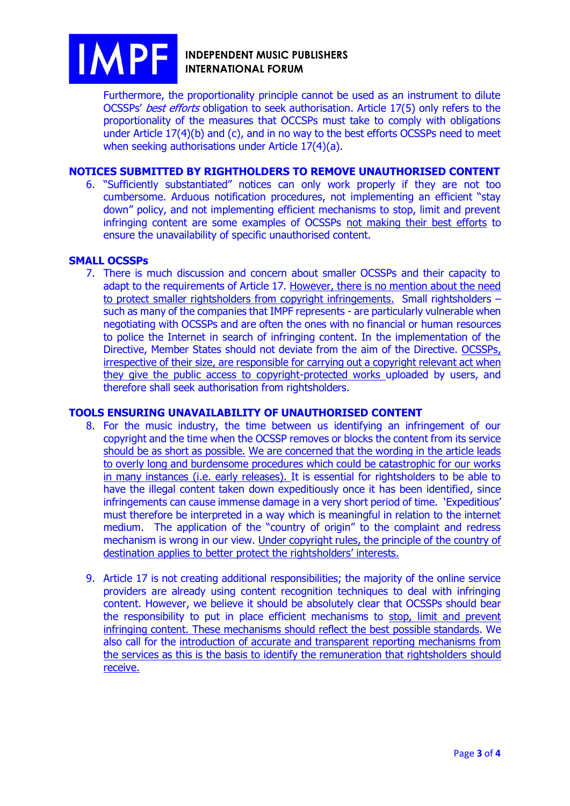

### **INDEPENDENT MUSIC PUBLISHERS INTERNATIONAL FORUM**

Furthermore, the proportionality principle cannot be used as an instrument to dilute OCSSPs' best efforts obligation to seek authorisation. Article 17(5) only refers to the proportionality of the measures that OCCSPs must take to comply with obligations under Article 17(4)(b) and (c), and in no way to the best efforts OCSSPs need to meet when seeking authorisations under Article 17(4)(a).

### **NOTICES SUBMITTED BY RIGHTHOLDERS TO REMOVE UNAUTHORISED CONTENT**

6. "Sufficiently substantiated" notices can only work properly if they are not too cumbersome. Arduous notification procedures, not implementing an efficient "stay down" policy, and not implementing efficient mechanisms to stop, limit and prevent infringing content are some examples of OCSSPs not making their best efforts to ensure the unavailability of specific unauthorised content.

#### **SMALL OCSSPs**

7. There is much discussion and concern about smaller OCSSPs and their capacity to adapt to the requirements of Article 17. However, there is no mention about the need to protect smaller rightsholders from copyright infringements. Small rightsholders – such as many of the companies that IMPF represents - are particularly vulnerable when negotiating with OCSSPs and are often the ones with no financial or human resources to police the Internet in search of infringing content. In the implementation of the Directive, Member States should not deviate from the aim of the Directive. OCSSPs, irrespective of their size, are responsible for carrying out a copyright relevant act when they give the public access to copyright-protected works uploaded by users, and therefore shall seek authorisation from rightsholders.

#### **TOOLS ENSURING UNAVAILABILITY OF UNAUTHORISED CONTENT**

- 8. For the music industry, the time between us identifying an infringement of our copyright and the time when the OCSSP removes or blocks the content from its service should be as short as possible. We are concerned that the wording in the article leads to overly long and burdensome procedures which could be catastrophic for our works in many instances (i.e. early releases). It is essential for rightsholders to be able to have the illegal content taken down expeditiously once it has been identified, since infringements can cause immense damage in a very short period of time. 'Expeditious' must therefore be interpreted in a way which is meaningful in relation to the internet medium. The application of the "country of origin" to the complaint and redress mechanism is wrong in our view. Under copyright rules, the principle of the country of destination applies to better protect the rightsholders' interests.
- 9. Article 17 is not creating additional responsibilities; the majority of the online service providers are already using content recognition techniques to deal with infringing content. However, we believe it should be absolutely clear that OCSSPs should bear the responsibility to put in place efficient mechanisms to stop, limit and prevent infringing content. These mechanisms should reflect the best possible standards. We also call for the introduction of accurate and transparent reporting mechanisms from the services as this is the basis to identify the remuneration that rightsholders should receive.